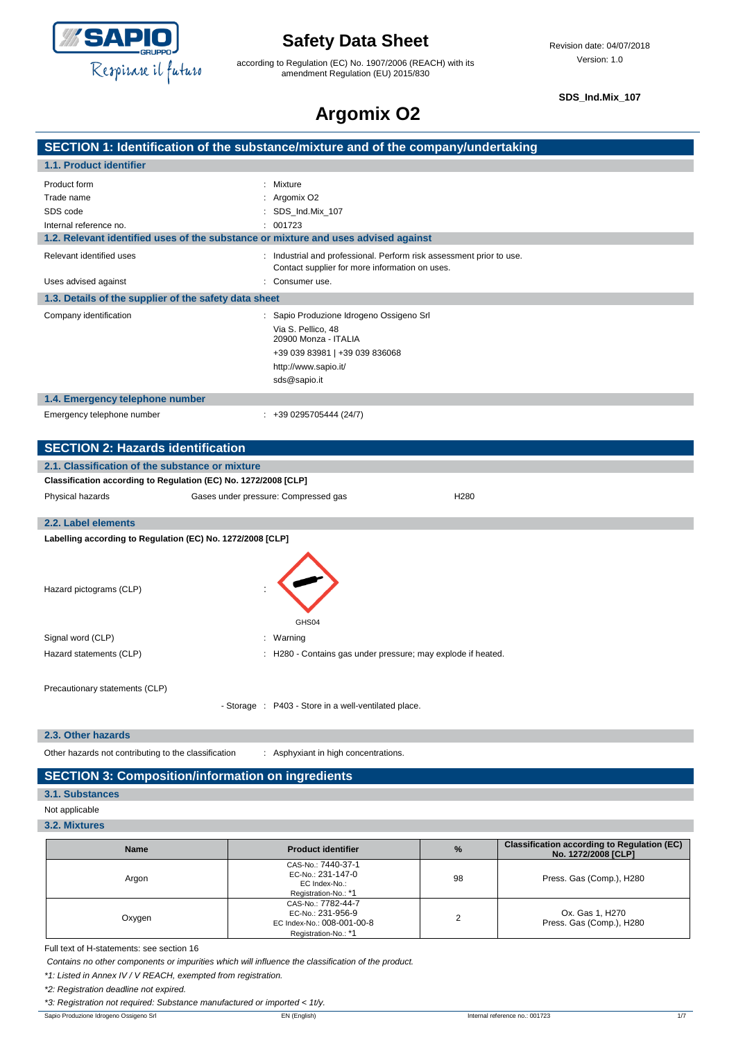

according to Regulation (EC) No. 1907/2006 (REACH) with its amendment Regulation (EU) 2015/830

**SDS\_Ind.Mix\_107**

# **Argomix O2**

|                                                                                    | SECTION 1: Identification of the substance/mixture and of the company/undertaking                                      |
|------------------------------------------------------------------------------------|------------------------------------------------------------------------------------------------------------------------|
| 1.1. Product identifier                                                            |                                                                                                                        |
| Product form                                                                       | : Mixture                                                                                                              |
| Trade name                                                                         | : Argomix $O2$                                                                                                         |
| SDS code                                                                           | : SDS Ind.Mix 107                                                                                                      |
| Internal reference no.                                                             | : 001723                                                                                                               |
| 1.2. Relevant identified uses of the substance or mixture and uses advised against |                                                                                                                        |
| Relevant identified uses                                                           | : Industrial and professional. Perform risk assessment prior to use.<br>Contact supplier for more information on uses. |

| Uses advised against                                  | : Consumer use.                                                                                                                                                  |  |  |
|-------------------------------------------------------|------------------------------------------------------------------------------------------------------------------------------------------------------------------|--|--|
| 1.3. Details of the supplier of the safety data sheet |                                                                                                                                                                  |  |  |
| Company identification                                | : Sapio Produzione Idrogeno Ossigeno Srl<br>Via S. Pellico, 48<br>20900 Monza - ITALIA<br>+39 039 83981   +39 039 836068<br>http://www.sapio.it/<br>sds@sapio.it |  |  |
| 1.4. Emergency telephone number                       |                                                                                                                                                                  |  |  |
| Emergency telephone number                            | $: +390295705444(24/7)$                                                                                                                                          |  |  |

| <b>SECTION 2: Hazards identification</b>                        |                                                              |                  |  |
|-----------------------------------------------------------------|--------------------------------------------------------------|------------------|--|
| 2.1. Classification of the substance or mixture                 |                                                              |                  |  |
| Classification according to Regulation (EC) No. 1272/2008 [CLP] |                                                              |                  |  |
| Physical hazards                                                | Gases under pressure: Compressed gas                         | H <sub>280</sub> |  |
| 2.2. Label elements                                             |                                                              |                  |  |
| Labelling according to Regulation (EC) No. 1272/2008 [CLP]      |                                                              |                  |  |
| Hazard pictograms (CLP)                                         | GHS04                                                        |                  |  |
| Signal word (CLP)                                               | : Warning                                                    |                  |  |
| Hazard statements (CLP)                                         | : H280 - Contains gas under pressure; may explode if heated. |                  |  |
| Precautionary statements (CLP)                                  |                                                              |                  |  |

- Storage : P403 - Store in a well-ventilated place.

**2.3. Other hazards**

Other hazards not contributing to the classification : Asphyxiant in high concentrations.

#### **SECTION 3: Composition/information on ingredients**

**3.1. Substances**

Not applicable

**3.2. Mixtures**

| <b>Name</b> | <b>Product identifier</b>                                                                     | $\%$ | <b>Classification according to Regulation (EC)</b><br>No. 1272/2008 [CLP] |
|-------------|-----------------------------------------------------------------------------------------------|------|---------------------------------------------------------------------------|
| Argon       | CAS-No.: 7440-37-1<br>EC-No.: 231-147-0<br>EC Index-No.:<br>Registration-No.: *1              | 98   | Press. Gas (Comp.), H280                                                  |
| Oxygen      | CAS-No.: 7782-44-7<br>EC-No.: 231-956-9<br>EC Index-No.: 008-001-00-8<br>Registration-No.: *1 |      | Ox. Gas 1, H270<br>Press. Gas (Comp.), H280                               |

Full text of H-statements: see section 16

*Contains no other components or impurities which will influence the classification of the product.*

*\*1: Listed in Annex IV / V REACH, exempted from registration.*

*\*2: Registration deadline not expired.*

*\*3: Registration not required: Substance manufactured or imported < 1t/y.*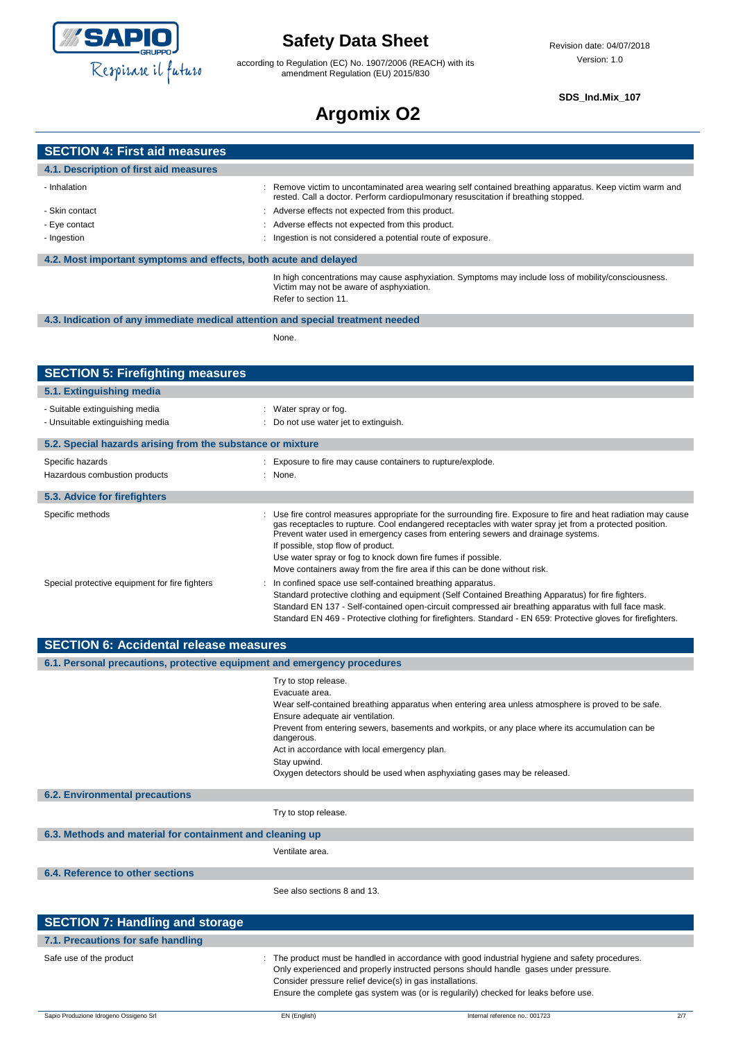

 $4.1.$ 

## **Safety Data Sheet**

according to Regulation (EC) No. 1907/2006 (REACH) with its amendment Regulation (EU) 2015/830

#### **SDS\_Ind.Mix\_107**

## **Argomix O2**

| <b>SECTION 4: First aid measures</b>                                            |                                                                                                                                                                                               |  |
|---------------------------------------------------------------------------------|-----------------------------------------------------------------------------------------------------------------------------------------------------------------------------------------------|--|
| 4.1. Description of first aid measures                                          |                                                                                                                                                                                               |  |
| - Inhalation                                                                    | : Remove victim to uncontaminated area wearing self contained breathing apparatus. Keep victim warm and<br>rested. Call a doctor. Perform cardiopulmonary resuscitation if breathing stopped. |  |
| - Skin contact                                                                  | : Adverse effects not expected from this product.                                                                                                                                             |  |
| - Eye contact                                                                   | : Adverse effects not expected from this product.                                                                                                                                             |  |
| - Ingestion                                                                     | : Ingestion is not considered a potential route of exposure.                                                                                                                                  |  |
|                                                                                 |                                                                                                                                                                                               |  |
| 4.2. Most important symptoms and effects, both acute and delayed                |                                                                                                                                                                                               |  |
|                                                                                 | In high concentrations may cause asphyxiation. Symptoms may include loss of mobility/consciousness.<br>Victim may not be aware of asphyxiation.<br>Refer to section 11.                       |  |
| 4.3. Indication of any immediate medical attention and special treatment needed |                                                                                                                                                                                               |  |
|                                                                                 | None.                                                                                                                                                                                         |  |
|                                                                                 |                                                                                                                                                                                               |  |

| <b>SECTION 5: Firefighting measures</b>                            |                                                                                                                                                                                                                                                                                                                                                                                                                                                                                                   |
|--------------------------------------------------------------------|---------------------------------------------------------------------------------------------------------------------------------------------------------------------------------------------------------------------------------------------------------------------------------------------------------------------------------------------------------------------------------------------------------------------------------------------------------------------------------------------------|
| 5.1. Extinguishing media                                           |                                                                                                                                                                                                                                                                                                                                                                                                                                                                                                   |
| - Suitable extinguishing media<br>- Unsuitable extinguishing media | : Water spray or fog.<br>: Do not use water jet to extinguish.                                                                                                                                                                                                                                                                                                                                                                                                                                    |
| 5.2. Special hazards arising from the substance or mixture         |                                                                                                                                                                                                                                                                                                                                                                                                                                                                                                   |
| Specific hazards<br>Hazardous combustion products                  | : Exposure to fire may cause containers to rupture/explode.<br>: None.                                                                                                                                                                                                                                                                                                                                                                                                                            |
| 5.3. Advice for firefighters                                       |                                                                                                                                                                                                                                                                                                                                                                                                                                                                                                   |
| Specific methods                                                   | : Use fire control measures appropriate for the surrounding fire. Exposure to fire and heat radiation may cause<br>gas receptacles to rupture. Cool endangered receptacles with water spray jet from a protected position.<br>Prevent water used in emergency cases from entering sewers and drainage systems.<br>If possible, stop flow of product.<br>Use water spray or fog to knock down fire fumes if possible.<br>Move containers away from the fire area if this can be done without risk. |
| Special protective equipment for fire fighters                     | : In confined space use self-contained breathing apparatus.<br>Standard protective clothing and equipment (Self Contained Breathing Apparatus) for fire fighters.<br>Standard EN 137 - Self-contained open-circuit compressed air breathing apparatus with full face mask.<br>Standard EN 469 - Protective clothing for firefighters. Standard - EN 659: Protective gloves for firefighters.                                                                                                      |

| <b>SECTION 6: Accidental release measures</b>                            |                                                                                                                                                                                                                                                                                                                                                                                                                                                |  |  |  |
|--------------------------------------------------------------------------|------------------------------------------------------------------------------------------------------------------------------------------------------------------------------------------------------------------------------------------------------------------------------------------------------------------------------------------------------------------------------------------------------------------------------------------------|--|--|--|
| 6.1. Personal precautions, protective equipment and emergency procedures |                                                                                                                                                                                                                                                                                                                                                                                                                                                |  |  |  |
|                                                                          | Try to stop release.<br>Evacuate area.<br>Wear self-contained breathing apparatus when entering area unless atmosphere is proved to be safe.<br>Ensure adequate air ventilation.<br>Prevent from entering sewers, basements and workpits, or any place where its accumulation can be<br>dangerous.<br>Act in accordance with local emergency plan.<br>Stay upwind.<br>Oxygen detectors should be used when asphyxiating gases may be released. |  |  |  |
| <b>6.2. Environmental precautions</b>                                    |                                                                                                                                                                                                                                                                                                                                                                                                                                                |  |  |  |
|                                                                          | Try to stop release.                                                                                                                                                                                                                                                                                                                                                                                                                           |  |  |  |
| 6.3. Methods and material for containment and cleaning up                |                                                                                                                                                                                                                                                                                                                                                                                                                                                |  |  |  |
|                                                                          | Ventilate area.                                                                                                                                                                                                                                                                                                                                                                                                                                |  |  |  |
| 6.4. Reference to other sections                                         |                                                                                                                                                                                                                                                                                                                                                                                                                                                |  |  |  |
|                                                                          | See also sections 8 and 13.                                                                                                                                                                                                                                                                                                                                                                                                                    |  |  |  |
| <b>SECTION 7: Handling and storage</b>                                   |                                                                                                                                                                                                                                                                                                                                                                                                                                                |  |  |  |
| 7.1. Precautions for safe handling                                       |                                                                                                                                                                                                                                                                                                                                                                                                                                                |  |  |  |
| Safe use of the product                                                  | : The product must be handled in accordance with good industrial hygiene and safety procedures.<br>Only experienced and properly instructed persons should handle gases under pressure.<br>Consider pressure relief device(s) in gas installations.<br>Ensure the complete gas system was (or is regularily) checked for leaks before use.                                                                                                     |  |  |  |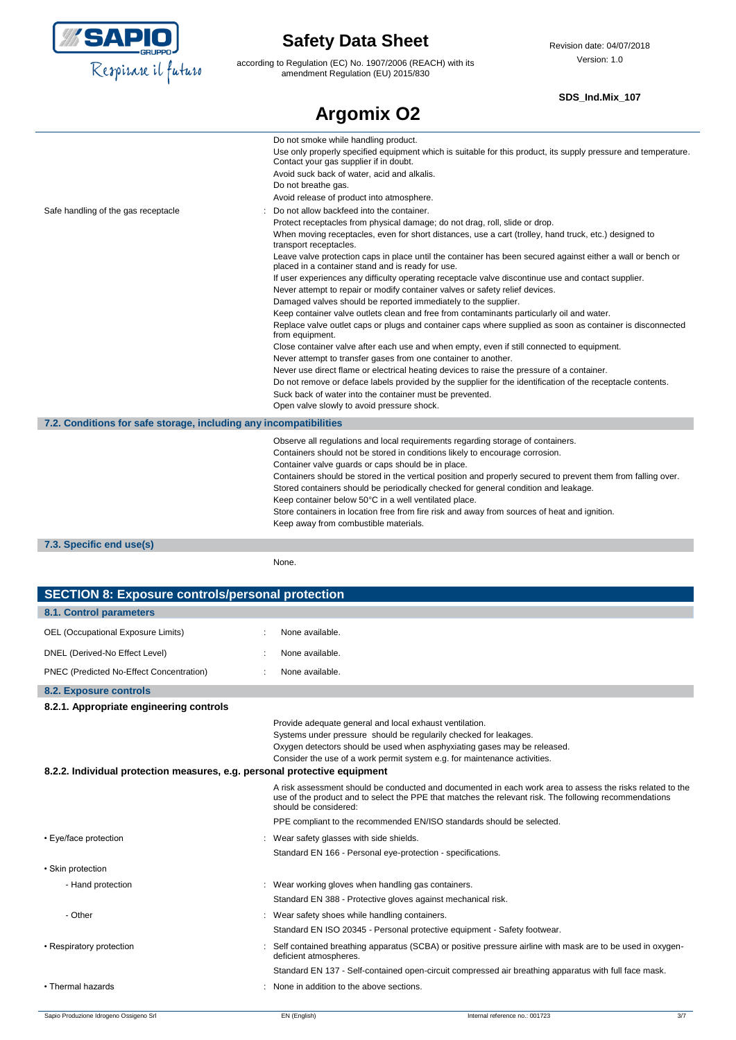

according to Regulation (EC) No. 1907/2006 (REACH) with its amendment Regulation (EU) 2015/830

#### **SDS\_Ind.Mix\_107**

| <b>Argomix O2</b>                                                 |                                                                                                                                                                                                                                                                                                                                                                                                                                                                                                                                                                                                                                                                                                                                                                                                                                                                                                                                                                                                                                                                                                                                                                                                                                                                                                                                                                                                             |  |  |
|-------------------------------------------------------------------|-------------------------------------------------------------------------------------------------------------------------------------------------------------------------------------------------------------------------------------------------------------------------------------------------------------------------------------------------------------------------------------------------------------------------------------------------------------------------------------------------------------------------------------------------------------------------------------------------------------------------------------------------------------------------------------------------------------------------------------------------------------------------------------------------------------------------------------------------------------------------------------------------------------------------------------------------------------------------------------------------------------------------------------------------------------------------------------------------------------------------------------------------------------------------------------------------------------------------------------------------------------------------------------------------------------------------------------------------------------------------------------------------------------|--|--|
|                                                                   | Do not smoke while handling product.<br>Use only properly specified equipment which is suitable for this product, its supply pressure and temperature.<br>Contact your gas supplier if in doubt.<br>Avoid suck back of water, acid and alkalis.<br>Do not breathe gas.<br>Avoid release of product into atmosphere.                                                                                                                                                                                                                                                                                                                                                                                                                                                                                                                                                                                                                                                                                                                                                                                                                                                                                                                                                                                                                                                                                         |  |  |
| Safe handling of the gas receptacle                               | Do not allow backfeed into the container.<br>Protect receptacles from physical damage; do not drag, roll, slide or drop.<br>When moving receptacles, even for short distances, use a cart (trolley, hand truck, etc.) designed to<br>transport receptacles.<br>Leave valve protection caps in place until the container has been secured against either a wall or bench or<br>placed in a container stand and is ready for use.<br>If user experiences any difficulty operating receptacle valve discontinue use and contact supplier.<br>Never attempt to repair or modify container valves or safety relief devices.<br>Damaged valves should be reported immediately to the supplier.<br>Keep container valve outlets clean and free from contaminants particularly oil and water.<br>Replace valve outlet caps or plugs and container caps where supplied as soon as container is disconnected<br>from equipment.<br>Close container valve after each use and when empty, even if still connected to equipment.<br>Never attempt to transfer gases from one container to another.<br>Never use direct flame or electrical heating devices to raise the pressure of a container.<br>Do not remove or deface labels provided by the supplier for the identification of the receptacle contents.<br>Suck back of water into the container must be prevented.<br>Open valve slowly to avoid pressure shock. |  |  |
| 7.2. Conditions for safe storage, including any incompatibilities |                                                                                                                                                                                                                                                                                                                                                                                                                                                                                                                                                                                                                                                                                                                                                                                                                                                                                                                                                                                                                                                                                                                                                                                                                                                                                                                                                                                                             |  |  |
|                                                                   | Observe all regulations and local requirements regarding storage of containers.<br>Containers should not be stored in conditions likely to encourage corrosion.<br>Container valve guards or caps should be in place.<br>Containers should be stored in the vertical position and properly secured to prevent them from falling over.<br>Stored containers should be periodically checked for general condition and leakage.<br>Keep container below 50°C in a well ventilated place.<br>Store containers in location free from fire risk and away from sources of heat and ignition.<br>Keep away from combustible materials.                                                                                                                                                                                                                                                                                                                                                                                                                                                                                                                                                                                                                                                                                                                                                                              |  |  |
| 7.3. Specific end use(s)                                          |                                                                                                                                                                                                                                                                                                                                                                                                                                                                                                                                                                                                                                                                                                                                                                                                                                                                                                                                                                                                                                                                                                                                                                                                                                                                                                                                                                                                             |  |  |

None.

| <b>SECTION 8: Exposure controls/personal protection</b>                   |  |                                                                                                                                                                                                                                                                                       |                                                                                                                                                                                                                     |  |
|---------------------------------------------------------------------------|--|---------------------------------------------------------------------------------------------------------------------------------------------------------------------------------------------------------------------------------------------------------------------------------------|---------------------------------------------------------------------------------------------------------------------------------------------------------------------------------------------------------------------|--|
| 8.1. Control parameters                                                   |  |                                                                                                                                                                                                                                                                                       |                                                                                                                                                                                                                     |  |
| OEL (Occupational Exposure Limits)                                        |  | None available.                                                                                                                                                                                                                                                                       |                                                                                                                                                                                                                     |  |
| DNEL (Derived-No Effect Level)                                            |  | None available.                                                                                                                                                                                                                                                                       |                                                                                                                                                                                                                     |  |
| PNEC (Predicted No-Effect Concentration)                                  |  | None available.                                                                                                                                                                                                                                                                       |                                                                                                                                                                                                                     |  |
| 8.2. Exposure controls                                                    |  |                                                                                                                                                                                                                                                                                       |                                                                                                                                                                                                                     |  |
| 8.2.1. Appropriate engineering controls                                   |  |                                                                                                                                                                                                                                                                                       |                                                                                                                                                                                                                     |  |
| 8.2.2. Individual protection measures, e.g. personal protective equipment |  | Provide adequate general and local exhaust ventilation.<br>Systems under pressure should be regularily checked for leakages.<br>Oxygen detectors should be used when asphyxiating gases may be released.<br>Consider the use of a work permit system e.g. for maintenance activities. |                                                                                                                                                                                                                     |  |
|                                                                           |  | should be considered:                                                                                                                                                                                                                                                                 | A risk assessment should be conducted and documented in each work area to assess the risks related to the<br>use of the product and to select the PPE that matches the relevant risk. The following recommendations |  |
|                                                                           |  | PPE compliant to the recommended EN/ISO standards should be selected.                                                                                                                                                                                                                 |                                                                                                                                                                                                                     |  |
| • Eye/face protection                                                     |  | Wear safety glasses with side shields.                                                                                                                                                                                                                                                |                                                                                                                                                                                                                     |  |
|                                                                           |  | Standard EN 166 - Personal eye-protection - specifications.                                                                                                                                                                                                                           |                                                                                                                                                                                                                     |  |
| • Skin protection                                                         |  |                                                                                                                                                                                                                                                                                       |                                                                                                                                                                                                                     |  |
| - Hand protection                                                         |  | : Wear working gloves when handling gas containers.<br>Standard EN 388 - Protective gloves against mechanical risk.                                                                                                                                                                   |                                                                                                                                                                                                                     |  |
| - Other                                                                   |  | Wear safety shoes while handling containers.                                                                                                                                                                                                                                          |                                                                                                                                                                                                                     |  |
|                                                                           |  | Standard EN ISO 20345 - Personal protective equipment - Safety footwear.                                                                                                                                                                                                              |                                                                                                                                                                                                                     |  |
| • Respiratory protection                                                  |  | deficient atmospheres.                                                                                                                                                                                                                                                                | Self contained breathing apparatus (SCBA) or positive pressure airline with mask are to be used in oxygen-                                                                                                          |  |
|                                                                           |  |                                                                                                                                                                                                                                                                                       | Standard EN 137 - Self-contained open-circuit compressed air breathing apparatus with full face mask.                                                                                                               |  |
| • Thermal hazards                                                         |  | None in addition to the above sections.                                                                                                                                                                                                                                               |                                                                                                                                                                                                                     |  |
| Sapio Produzione Idrogeno Ossigeno Srl                                    |  | EN (English)                                                                                                                                                                                                                                                                          | Internal reference no.: 001723<br>3/7                                                                                                                                                                               |  |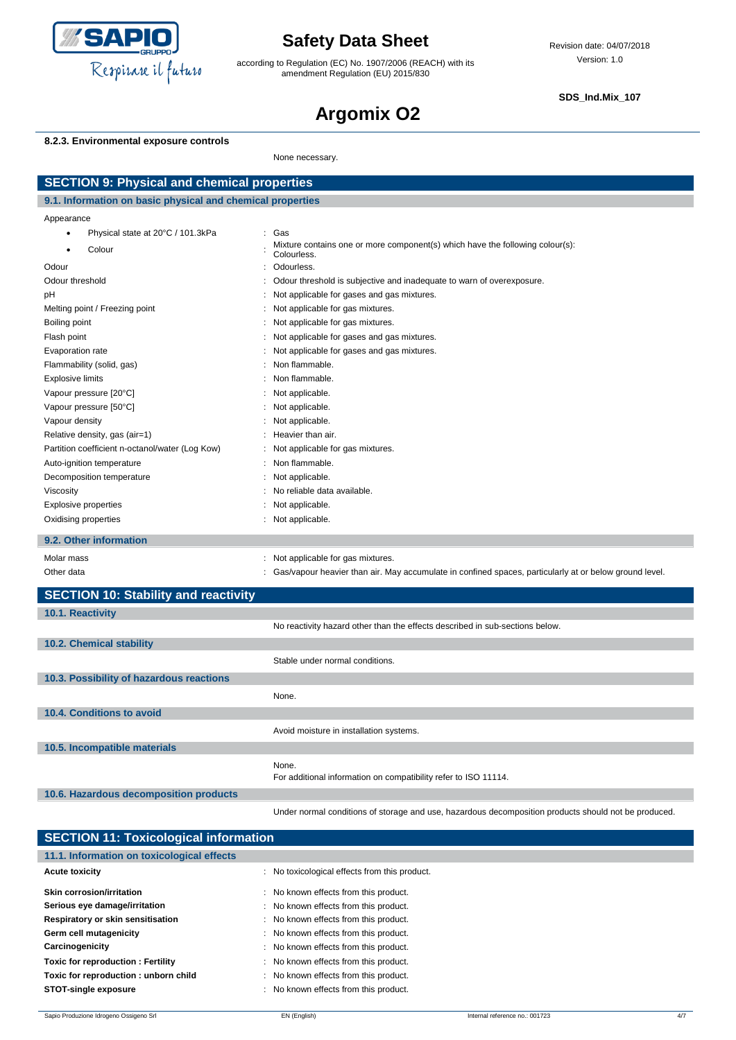

according to Regulation (EC) No. 1907/2006 (REACH) with its amendment Regulation (EU) 2015/830

**SDS\_Ind.Mix\_107**

# **Argomix O2**

#### **8.2.3. Environmental exposure controls**

None necessary.

| <b>SECTION 9: Physical and chemical properties</b>         |  |                                                                                                        |  |
|------------------------------------------------------------|--|--------------------------------------------------------------------------------------------------------|--|
| 9.1. Information on basic physical and chemical properties |  |                                                                                                        |  |
| Appearance                                                 |  |                                                                                                        |  |
| Physical state at 20°C / 101.3kPa<br>$\bullet$             |  | Gas                                                                                                    |  |
| Colour                                                     |  | Mixture contains one or more component(s) which have the following colour(s):<br>Colourless.           |  |
| Odour                                                      |  | Odourless.                                                                                             |  |
| Odour threshold                                            |  | Odour threshold is subjective and inadequate to warn of overexposure.                                  |  |
| pH                                                         |  | Not applicable for gases and gas mixtures.                                                             |  |
| Melting point / Freezing point                             |  | Not applicable for gas mixtures.                                                                       |  |
| Boiling point                                              |  | Not applicable for gas mixtures.                                                                       |  |
| Flash point                                                |  | Not applicable for gases and gas mixtures.                                                             |  |
| Evaporation rate                                           |  | Not applicable for gases and gas mixtures.                                                             |  |
| Flammability (solid, gas)                                  |  | Non flammable.                                                                                         |  |
| <b>Explosive limits</b>                                    |  | Non flammable.                                                                                         |  |
| Vapour pressure [20°C]                                     |  | Not applicable.                                                                                        |  |
| Vapour pressure [50°C]                                     |  | Not applicable.                                                                                        |  |
| Vapour density                                             |  | Not applicable.                                                                                        |  |
| Relative density, gas (air=1)                              |  | Heavier than air.                                                                                      |  |
| Partition coefficient n-octanol/water (Log Kow)            |  | Not applicable for gas mixtures.                                                                       |  |
| Auto-ignition temperature                                  |  | Non flammable.                                                                                         |  |
| Decomposition temperature                                  |  | Not applicable.                                                                                        |  |
| Viscosity                                                  |  | No reliable data available.                                                                            |  |
| Explosive properties                                       |  | Not applicable.                                                                                        |  |
| Oxidising properties                                       |  | : Not applicable.                                                                                      |  |
| 9.2. Other information                                     |  |                                                                                                        |  |
| Molar mass                                                 |  | Not applicable for gas mixtures.                                                                       |  |
| Other data                                                 |  | Gas/vapour heavier than air. May accumulate in confined spaces, particularly at or below ground level. |  |
| <b>SECTION 10: Stability and reactivity</b>                |  |                                                                                                        |  |
| 10.1. Reactivity                                           |  |                                                                                                        |  |
|                                                            |  | No reactivity hazard other than the effects described in sub-sections below.                           |  |
| 10.2. Chemical stability                                   |  |                                                                                                        |  |
|                                                            |  | Stable under normal conditions.                                                                        |  |
| 10.3. Possibility of hazardous reactions                   |  |                                                                                                        |  |
|                                                            |  | None.                                                                                                  |  |
| 10.4. Conditions to avoid                                  |  |                                                                                                        |  |
|                                                            |  | Avoid moisture in installation systems.                                                                |  |
| 10.5. Incompatible materials                               |  |                                                                                                        |  |
|                                                            |  | None.                                                                                                  |  |
|                                                            |  | For additional information on compatibility refer to ISO 11114.                                        |  |
| 10.6. Hazardous decomposition products                     |  |                                                                                                        |  |
|                                                            |  | Under normal conditions of storage and use, hazardous decomposition products should not be produced.   |  |

| <b>SECTION 11: Toxicological information</b> |                                               |  |  |  |
|----------------------------------------------|-----------------------------------------------|--|--|--|
| 11.1. Information on toxicological effects   |                                               |  |  |  |
| <b>Acute toxicity</b>                        | : No toxicological effects from this product. |  |  |  |
| Skin corrosion/irritation                    | : No known effects from this product.         |  |  |  |
| Serious eye damage/irritation                | : No known effects from this product.         |  |  |  |
| Respiratory or skin sensitisation            | : No known effects from this product.         |  |  |  |
| Germ cell mutagenicity                       | : No known effects from this product.         |  |  |  |
| Carcinogenicity                              | : No known effects from this product.         |  |  |  |
| <b>Toxic for reproduction: Fertility</b>     | : No known effects from this product.         |  |  |  |
| Toxic for reproduction: unborn child         | : No known effects from this product.         |  |  |  |
| <b>STOT-single exposure</b>                  | : No known effects from this product.         |  |  |  |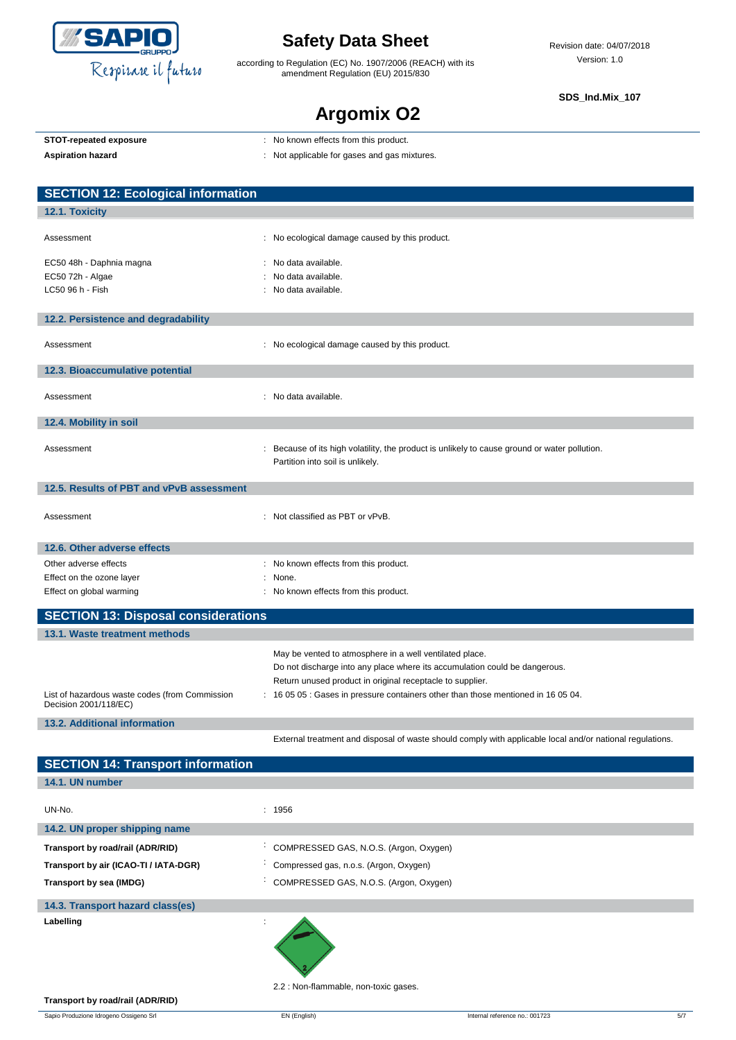

according to Regulation (EC) No. 1907/2006 (REACH) with its amendment Regulation (EU) 2015/830

**SDS\_Ind.Mix\_107**

## **Argomix O2**

|                     | STOT-repeated exposure |  |
|---------------------|------------------------|--|
| A colorado o brezel |                        |  |

**STOT-repeated exposure** : No known effects from this product.

Aspiration hazard<br> **Aspiration hazard in the set of the set of the set of the set of the set of the set of the set of the set of the set of the set of the set of the set of the set of the set of the set of the set of the** 

|  |  |  |  |  | . TVO KITOWIT CHECKS HOTH LITS PROGRAM. |  |
|--|--|--|--|--|-----------------------------------------|--|
|  |  |  |  |  |                                         |  |

| <b>SECTION 12: Ecological information</b>      |                                                                                               |
|------------------------------------------------|-----------------------------------------------------------------------------------------------|
| 12.1. Toxicity                                 |                                                                                               |
|                                                |                                                                                               |
| Assessment                                     | : No ecological damage caused by this product.                                                |
| EC50 48h - Daphnia magna                       | : No data available.                                                                          |
| EC50 72h - Algae                               | No data available.                                                                            |
| LC50 96 h - Fish                               | No data available.                                                                            |
|                                                |                                                                                               |
| 12.2. Persistence and degradability            |                                                                                               |
| Assessment                                     | : No ecological damage caused by this product.                                                |
|                                                |                                                                                               |
| 12.3. Bioaccumulative potential                |                                                                                               |
|                                                | : No data available.                                                                          |
| Assessment                                     |                                                                                               |
| 12.4. Mobility in soil                         |                                                                                               |
|                                                |                                                                                               |
| Assessment                                     | : Because of its high volatility, the product is unlikely to cause ground or water pollution. |
|                                                | Partition into soil is unlikely.                                                              |
| 12.5. Results of PBT and vPvB assessment       |                                                                                               |
|                                                |                                                                                               |
| Assessment                                     | : Not classified as PBT or vPvB.                                                              |
|                                                |                                                                                               |
| 12.6. Other adverse effects                    |                                                                                               |
| Other adverse effects                          | : No known effects from this product.                                                         |
| Effect on the ozone layer                      | None.                                                                                         |
| Effect on global warming                       | : No known effects from this product.                                                         |
| <b>SECTION 13: Disposal considerations</b>     |                                                                                               |
| 13.1. Waste treatment methods                  |                                                                                               |
|                                                | May be vented to atmosphere in a well ventilated place.                                       |
|                                                | Do not discharge into any place where its accumulation could be dangerous.                    |
|                                                | Return unused product in original receptacle to supplier.                                     |
| List of hazardous waste codes (from Commission | 16 05 05 : Gases in pressure containers other than those mentioned in 16 05 04.               |
| Decision 2001/118/EC)                          |                                                                                               |

**13.2. Additional information**

**SECTION 4:** 

External treatment and disposal of waste should comply with applicable local and/or national regulations.

| <b>SEUTION 14: Transport Information</b> |                                                  |
|------------------------------------------|--------------------------------------------------|
| 14.1. UN number                          |                                                  |
|                                          |                                                  |
| UN-No.                                   | : 1956                                           |
| 14.2. UN proper shipping name            |                                                  |
| Transport by road/rail (ADR/RID)         | COMPRESSED GAS, N.O.S. (Argon, Oxygen)           |
| Transport by air (ICAO-TI / IATA-DGR)    | Compressed gas, n.o.s. (Argon, Oxygen)           |
| Transport by sea (IMDG)                  | COMPRESSED GAS, N.O.S. (Argon, Oxygen)<br>$\sim$ |
| 14.3. Transport hazard class(es)         |                                                  |
| Labelling                                |                                                  |

2.2 : Non-flammable, non-toxic gases.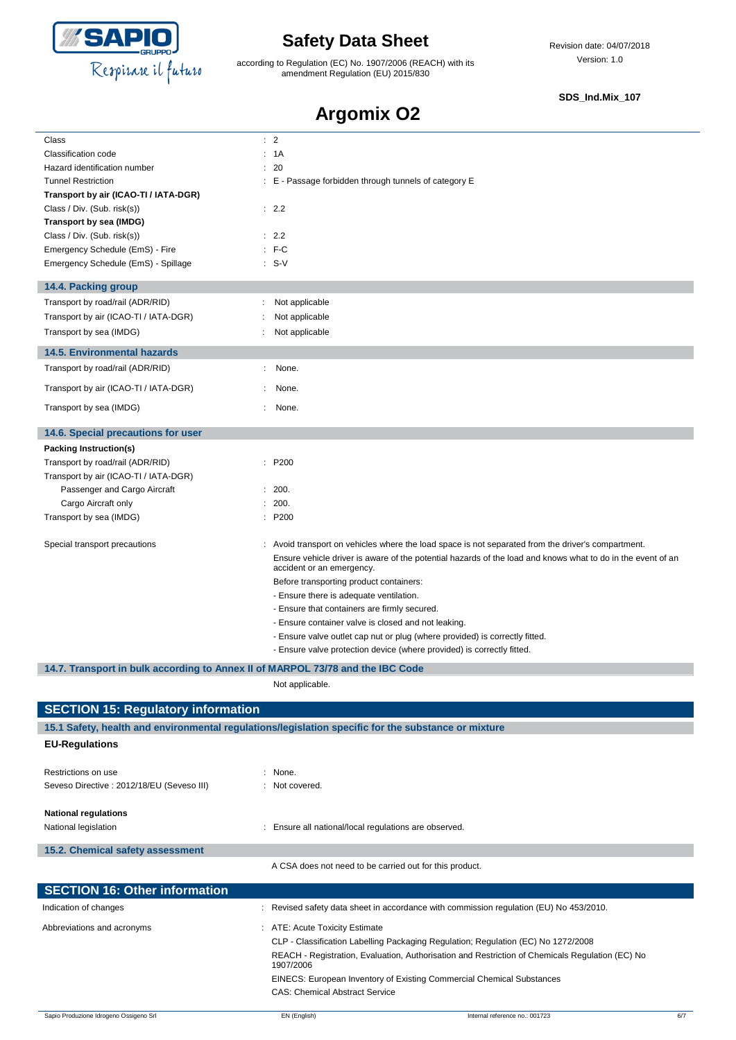

according to Regulation (EC) No. 1907/2006 (REACH) with its amendment Regulation (EU) 2015/830

#### **SDS\_Ind.Mix\_107**

## **Argomix O2**

| Class                                                                          | $\therefore$ 2                                                                                                                                                                                                                                                                                                                     |  |  |  |  |
|--------------------------------------------------------------------------------|------------------------------------------------------------------------------------------------------------------------------------------------------------------------------------------------------------------------------------------------------------------------------------------------------------------------------------|--|--|--|--|
| Classification code                                                            | : 1A                                                                                                                                                                                                                                                                                                                               |  |  |  |  |
| Hazard identification number                                                   | 20                                                                                                                                                                                                                                                                                                                                 |  |  |  |  |
| <b>Tunnel Restriction</b>                                                      | E - Passage forbidden through tunnels of category E                                                                                                                                                                                                                                                                                |  |  |  |  |
| Transport by air (ICAO-TI / IATA-DGR)                                          |                                                                                                                                                                                                                                                                                                                                    |  |  |  |  |
| Class / Div. (Sub. risk(s))                                                    | : 2.2                                                                                                                                                                                                                                                                                                                              |  |  |  |  |
| Transport by sea (IMDG)                                                        |                                                                                                                                                                                                                                                                                                                                    |  |  |  |  |
| Class / Div. (Sub. risk(s))                                                    | : 2.2                                                                                                                                                                                                                                                                                                                              |  |  |  |  |
| Emergency Schedule (EmS) - Fire                                                | $:$ F-C                                                                                                                                                                                                                                                                                                                            |  |  |  |  |
| Emergency Schedule (EmS) - Spillage                                            | $: S-V$                                                                                                                                                                                                                                                                                                                            |  |  |  |  |
| 14.4. Packing group                                                            |                                                                                                                                                                                                                                                                                                                                    |  |  |  |  |
| Transport by road/rail (ADR/RID)                                               | Not applicable                                                                                                                                                                                                                                                                                                                     |  |  |  |  |
| Transport by air (ICAO-TI / IATA-DGR)                                          | Not applicable                                                                                                                                                                                                                                                                                                                     |  |  |  |  |
| Transport by sea (IMDG)                                                        | Not applicable                                                                                                                                                                                                                                                                                                                     |  |  |  |  |
| <b>14.5. Environmental hazards</b>                                             |                                                                                                                                                                                                                                                                                                                                    |  |  |  |  |
| Transport by road/rail (ADR/RID)                                               | None.                                                                                                                                                                                                                                                                                                                              |  |  |  |  |
| Transport by air (ICAO-TI / IATA-DGR)                                          | None.                                                                                                                                                                                                                                                                                                                              |  |  |  |  |
| Transport by sea (IMDG)                                                        | None.                                                                                                                                                                                                                                                                                                                              |  |  |  |  |
| 14.6. Special precautions for user                                             |                                                                                                                                                                                                                                                                                                                                    |  |  |  |  |
| Packing Instruction(s)                                                         |                                                                                                                                                                                                                                                                                                                                    |  |  |  |  |
| Transport by road/rail (ADR/RID)                                               | : P200                                                                                                                                                                                                                                                                                                                             |  |  |  |  |
| Transport by air (ICAO-TI / IATA-DGR)                                          |                                                                                                                                                                                                                                                                                                                                    |  |  |  |  |
| Passenger and Cargo Aircraft                                                   | : 200.                                                                                                                                                                                                                                                                                                                             |  |  |  |  |
| Cargo Aircraft only                                                            | 200.                                                                                                                                                                                                                                                                                                                               |  |  |  |  |
| Transport by sea (IMDG)                                                        | : P200                                                                                                                                                                                                                                                                                                                             |  |  |  |  |
| Special transport precautions                                                  | Avoid transport on vehicles where the load space is not separated from the driver's compartment.<br>Ensure vehicle driver is aware of the potential hazards of the load and knows what to do in the event of an<br>accident or an emergency.<br>Before transporting product containers:<br>- Ensure there is adequate ventilation. |  |  |  |  |
|                                                                                | - Ensure that containers are firmly secured.                                                                                                                                                                                                                                                                                       |  |  |  |  |
|                                                                                | - Ensure container valve is closed and not leaking.                                                                                                                                                                                                                                                                                |  |  |  |  |
|                                                                                | - Ensure valve outlet cap nut or plug (where provided) is correctly fitted.                                                                                                                                                                                                                                                        |  |  |  |  |
|                                                                                | - Ensure valve protection device (where provided) is correctly fitted.                                                                                                                                                                                                                                                             |  |  |  |  |
| 14.7. Transport in bulk according to Annex II of MARPOL 73/78 and the IBC Code |                                                                                                                                                                                                                                                                                                                                    |  |  |  |  |
|                                                                                | Not applicable.                                                                                                                                                                                                                                                                                                                    |  |  |  |  |
| <b>SECTION 15: Regulatory information</b>                                      |                                                                                                                                                                                                                                                                                                                                    |  |  |  |  |
|                                                                                | 15.1 Safety, health and environmental regulations/legislation specific for the substance or mixture                                                                                                                                                                                                                                |  |  |  |  |
| <b>EU-Regulations</b>                                                          |                                                                                                                                                                                                                                                                                                                                    |  |  |  |  |
| Restrictions on use                                                            | : None.                                                                                                                                                                                                                                                                                                                            |  |  |  |  |
| Seveso Directive : 2012/18/EU (Seveso III)                                     | : Not covered.                                                                                                                                                                                                                                                                                                                     |  |  |  |  |
| <b>National regulations</b><br>National legislation                            | : Ensure all national/local regulations are observed.                                                                                                                                                                                                                                                                              |  |  |  |  |
| 15.2. Chemical safety assessment                                               |                                                                                                                                                                                                                                                                                                                                    |  |  |  |  |
|                                                                                | A CSA does not need to be carried out for this product.                                                                                                                                                                                                                                                                            |  |  |  |  |
| <b>SECTION 16: Other information</b>                                           |                                                                                                                                                                                                                                                                                                                                    |  |  |  |  |
| Indication of changes                                                          | Revised safety data sheet in accordance with commission regulation (EU) No 453/2010.                                                                                                                                                                                                                                               |  |  |  |  |
| Abbreviations and acronyms                                                     | : ATE: Acute Toxicity Estimate                                                                                                                                                                                                                                                                                                     |  |  |  |  |
|                                                                                | CLP - Classification Labelling Packaging Regulation; Regulation (EC) No 1272/2008<br>REACH - Registration, Evaluation, Authorisation and Restriction of Chemicals Regulation (EC) No<br>1907/2006                                                                                                                                  |  |  |  |  |

CAS: Chemical Abstract Service

EINECS: European Inventory of Existing Commercial Chemical Substances